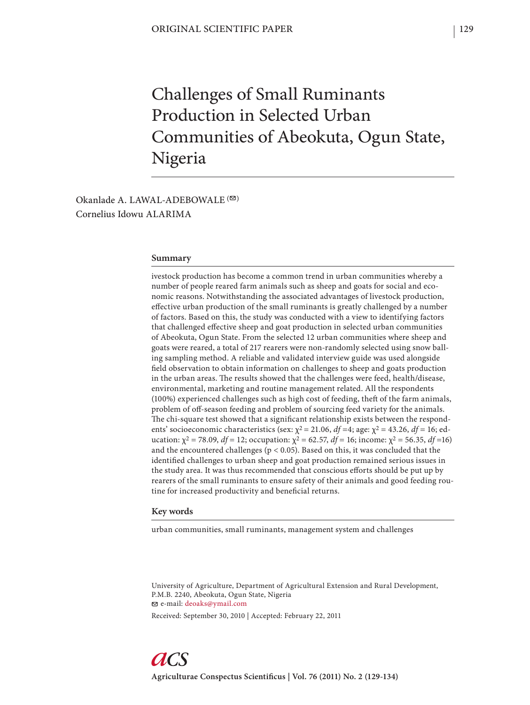# Challenges of Small Ruminants Production in Selected Urban Communities of Abeokuta, Ogun State, Nigeria

Okanlade A. LAWAL-ADEBOWALE  $($ Cornelius Idowu ALARIMA

## **Summary**

ivestock production has become a common trend in urban communities whereby a number of people reared farm animals such as sheep and goats for social and economic reasons. Notwithstanding the associated advantages of livestock production, effective urban production of the small ruminants is greatly challenged by a number of factors. Based on this, the study was conducted with a view to identifying factors that challenged effective sheep and goat production in selected urban communities of Abeokuta, Ogun State. From the selected 12 urban communities where sheep and goats were reared, a total of 217 rearers were non-randomly selected using snow balling sampling method. A reliable and validated interview guide was used alongside field observation to obtain information on challenges to sheep and goats production in the urban areas. The results showed that the challenges were feed, health/disease, environmental, marketing and routine management related. All the respondents (100%) experienced challenges such as high cost of feeding, theft of the farm animals, problem of off -season feeding and problem of sourcing feed variety for the animals. The chi-square test showed that a significant relationship exists between the respondents' socioeconomic characteristics (sex: χ2 = 21.06, *df =*4; age: χ2 = 43.26, *df =* 16; education:  $\chi^2$  = 78.09, *df* = 12; occupation:  $\chi^2$  = 62.57, *df* = 16; income:  $\chi^2$  = 56.35, *df* =16) and the encountered challenges ( $p < 0.05$ ). Based on this, it was concluded that the identified challenges to urban sheep and goat production remained serious issues in the study area. It was thus recommended that conscious efforts should be put up by rearers of the small ruminants to ensure safety of their animals and good feeding routine for increased productivity and beneficial returns.

#### **Key words**

urban communities, small ruminants, management system and challenges

University of Agriculture, Department of Agricultural Extension and Rural Development, P.M.B. 2240, Abeokuta, Ogun State, Nigeria e-mail: deoaks@ymail.com

Received: September 30, 2010 | Accepted: February 22, 2011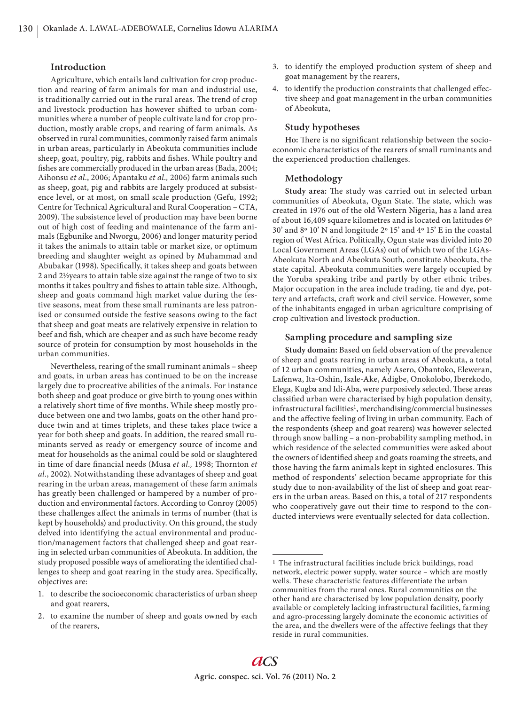## **Introduction**

Agriculture, which entails land cultivation for crop production and rearing of farm animals for man and industrial use, is traditionally carried out in the rural areas. The trend of crop and livestock production has however shifted to urban communities where a number of people cultivate land for crop production, mostly arable crops, and rearing of farm animals. As observed in rural communities, commonly raised farm animals in urban areas, particularly in Abeokuta communities include sheep, goat, poultry, pig, rabbits and fishes. While poultry and fishes are commercially produced in the urban areas (Bada, 2004; Aihonsu *et al.*, 2006; Apantaku *et al.,* 2006) farm animals such as sheep, goat, pig and rabbits are largely produced at subsistence level, or at most, on small scale production (Gefu, 1992; Centre for Technical Agricultural and Rural Cooperation – CTA, 2009). The subsistence level of production may have been borne out of high cost of feeding and maintenance of the farm animals (Egbunike and Nworgu, 2006) and longer maturity period it takes the animals to attain table or market size, or optimum breeding and slaughter weight as opined by Muhammad and Abubakar (1998). Specifically, it takes sheep and goats between 2 and 2½years to attain table size against the range of two to six months it takes poultry and fishes to attain table size. Although, sheep and goats command high market value during the festive seasons, meat from these small ruminants are less patronised or consumed outside the festive seasons owing to the fact that sheep and goat meats are relatively expensive in relation to beef and fish, which are cheaper and as such have become ready source of protein for consumption by most households in the urban communities.

Nevertheless, rearing of the small ruminant animals – sheep and goats, in urban areas has continued to be on the increase largely due to procreative abilities of the animals. For instance both sheep and goat produce or give birth to young ones within a relatively short time of five months. While sheep mostly produce between one and two lambs, goats on the other hand produce twin and at times triplets, and these takes place twice a year for both sheep and goats. In addition, the reared small ruminants served as ready or emergency source of income and meat for households as the animal could be sold or slaughtered in time of dare financial needs (Musa et al., 1998; Thornton et *al.*, 2002). Notwithstanding these advantages of sheep and goat rearing in the urban areas, management of these farm animals has greatly been challenged or hampered by a number of production and environmental factors. According to Conroy (2005) these challenges affect the animals in terms of number (that is kept by households) and productivity. On this ground, the study delved into identifying the actual environmental and production/management factors that challenged sheep and goat rearing in selected urban communities of Abeokuta. In addition, the study proposed possible ways of ameliorating the identified challenges to sheep and goat rearing in the study area. Specifically, objectives are:

- 1. to describe the socioeconomic characteristics of urban sheep and goat rearers,
- 2. to examine the number of sheep and goats owned by each of the rearers,
- 3. to identify the employed production system of sheep and goat management by the rearers,
- 4. to identify the production constraints that challenged effective sheep and goat management in the urban communities of Abeokuta,

## **Study hypotheses**

Ho: There is no significant relationship between the socioeconomic characteristics of the rearers of small ruminants and the experienced production challenges.

# **Methodology**

Study area: The study was carried out in selected urban communities of Abeokuta, Ogun State. The state, which was created in 1976 out of the old Western Nigeria, has a land area of about 16,409 square kilometres and is located on latitudes 6º 30' and 8º 10' N and longitude 2º 15' and 4º 15' E in the coastal region of West Africa. Politically, Ogun state was divided into 20 Local Government Areas (LGAs) out of which two of the LGAs-Abeokuta North and Abeokuta South, constitute Abeokuta, the state capital. Abeokuta communities were largely occupied by the Yoruba speaking tribe and partly by other ethnic tribes. Major occupation in the area include trading, tie and dye, pottery and artefacts, craft work and civil service. However, some of the inhabitants engaged in urban agriculture comprising of crop cultivation and livestock production.

## **Sampling procedure and sampling size**

**Study domain:** Based on field observation of the prevalence of sheep and goats rearing in urban areas of Abeokuta, a total of 12 urban communities, namely Asero, Obantoko, Eleweran, Lafenwa, Ita-Oshin, Isale-Ake, Adigbe, Onokolobo, Iberekodo, Elega, Kugba and Idi-Aba, were purposively selected. These areas classified urban were characterised by high population density, infrastructural facilities<sup>1</sup>, merchandising/commercial businesses and the affective feeling of living in urban community. Each of the respondents (sheep and goat rearers) was however selected through snow balling – a non-probability sampling method, in which residence of the selected communities were asked about the owners of identified sheep and goats roaming the streets, and those having the farm animals kept in sighted enclosures. This method of respondents' selection became appropriate for this study due to non-availability of the list of sheep and goat rearers in the urban areas. Based on this, a total of 217 respondents who cooperatively gave out their time to respond to the conducted interviews were eventually selected for data collection.

<sup>&</sup>lt;sup>1</sup> The infrastructural facilities include brick buildings, road network, electric power supply, water source – which are mostly wells. These characteristic features differentiate the urban communities from the rural ones. Rural communities on the other hand are characterised by low population density, poorly available or completely lacking infrastructural facilities, farming and agro-processing largely dominate the economic activities of the area, and the dwellers were of the affective feelings that they reside in rural communities.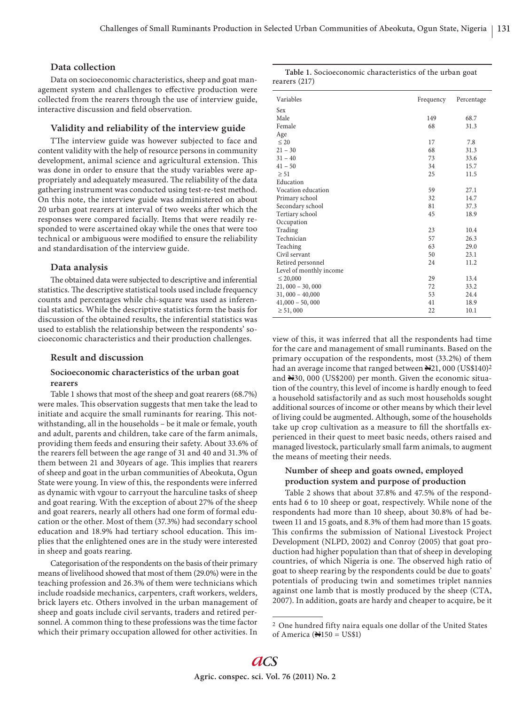# **Data collection**

Data on socioeconomic characteristics, sheep and goat management system and challenges to effective production were collected from the rearers through the use of interview guide, interactive discussion and field observation.

## **Validity and reliability of the interview guide**

TThe interview guide was however subjected to face and content validity with the help of resource persons in community development, animal science and agricultural extension. This was done in order to ensure that the study variables were appropriately and adequately measured. The reliability of the data gathering instrument was conducted using test-re-test method. On this note, the interview guide was administered on about 20 urban goat rearers at interval of two weeks after which the responses were compared facially. Items that were readily responded to were ascertained okay while the ones that were too technical or ambiguous were modified to ensure the reliability and standardisation of the interview guide.

#### **Data analysis**

The obtained data were subjected to descriptive and inferential statistics. The descriptive statistical tools used include frequency counts and percentages while chi-square was used as inferential statistics. While the descriptive statistics form the basis for discussion of the obtained results, the inferential statistics was used to establish the relationship between the respondents' socioeconomic characteristics and their production challenges.

## **Result and discussion**

## **Socioeconomic characteristics of the urban goat rearers**

Table 1 shows that most of the sheep and goat rearers (68.7%) were males. This observation suggests that men take the lead to initiate and acquire the small ruminants for rearing. This notwithstanding, all in the households – be it male or female, youth and adult, parents and children, take care of the farm animals, providing them feeds and ensuring their safety. About 33.6% of the rearers fell between the age range of 31 and 40 and 31.3% of them between 21 and 30 years of age. This implies that rearers of sheep and goat in the urban communities of Abeokuta, Ogun State were young. In view of this, the respondents were inferred as dynamic with vgour to carryout the harculine tasks of sheep and goat rearing. With the exception of about 27% of the sheep and goat rearers, nearly all others had one form of formal education or the other. Most of them (37.3%) had secondary school education and 18.9% had tertiary school education. This implies that the enlightened ones are in the study were interested in sheep and goats rearing.

Categorisation of the respondents on the basis of their primary means of livelihood showed that most of them (29.0%) were in the teaching profession and 26.3% of them were technicians which include roadside mechanics, carpenters, craft workers, welders, brick layers etc. Others involved in the urban management of sheep and goats include civil servants, traders and retired personnel. A common thing to these professions was the time factor which their primary occupation allowed for other activities. In

| Table 1. Socioeconomic characteristics of the urban goat |  |
|----------------------------------------------------------|--|
| rearers $(217)$                                          |  |

| Variables               | Frequency | Percentage |
|-------------------------|-----------|------------|
| Sex                     |           |            |
| Male                    | 149       | 68.7       |
| Female                  | 68        | 31.3       |
| Age                     |           |            |
| $\leq 20$               | 17        | 7.8        |
| $21 - 30$               | 68        | 31.3       |
| $31 - 40$               | 73        | 33.6       |
| $41 - 50$               | 34        | 15.7       |
| $\geq 51$               | 25        | 11.5       |
| Education               |           |            |
| Vocation education      | 59        | 27.1       |
| Primary school          | 32        | 14.7       |
| Secondary school        | 81        | 37.3       |
| Tertiary school         | 45        | 18.9       |
| Occupation              |           |            |
| Trading                 | 23        | 10.4       |
| Technician              | 57        | 26.3       |
| Teaching                | 63        | 29.0       |
| Civil servant           | 50        | 23.1       |
| Retired personnel       | 24        | 11.2       |
| Level of monthly income |           |            |
| $\leq 20,000$           | 29        | 13.4       |
| $21,000 - 30,000$       | 72        | 33.2       |
| $31,000 - 40,000$       | 53        | 24.4       |
| $41,000 - 50,000$       | 41        | 18.9       |
| $\geq 51,000$           | 22        | 10.1       |

view of this, it was inferred that all the respondents had time for the care and management of small ruminants. Based on the primary occupation of the respondents, most (33.2%) of them had an average income that ranged between  $\mathbb{H}^{21}$ , 000 (US\$140)<sup>2</sup> and N30, 000 (US\$200) per month. Given the economic situation of the country, this level of income is hardly enough to feed a household satisfactorily and as such most households sought additional sources of income or other means by which their level of living could be augmented. Although, some of the households take up crop cultivation as a measure to fill the shortfalls experienced in their quest to meet basic needs, others raised and managed livestock, particularly small farm animals, to augment the means of meeting their needs.

# **Number of sheep and goats owned, employed production system and purpose of production**

Table 2 shows that about 37.8% and 47.5% of the respondents had 6 to 10 sheep or goat, respectively. While none of the respondents had more than 10 sheep, about 30.8% of had between 11 and 15 goats, and 8.3% of them had more than 15 goats. This confirms the submission of National Livestock Project Development (NLPD, 2002) and Conroy (2005) that goat production had higher population than that of sheep in developing countries, of which Nigeria is one. The observed high ratio of goat to sheep rearing by the respondents could be due to goats' potentials of producing twin and sometimes triplet nannies against one lamb that is mostly produced by the sheep (CTA, 2007). In addition, goats are hardy and cheaper to acquire, be it

<sup>2</sup> One hundred fifty naira equals one dollar of the United States of America ( $\mathbf{H}$ 150 = US\$1)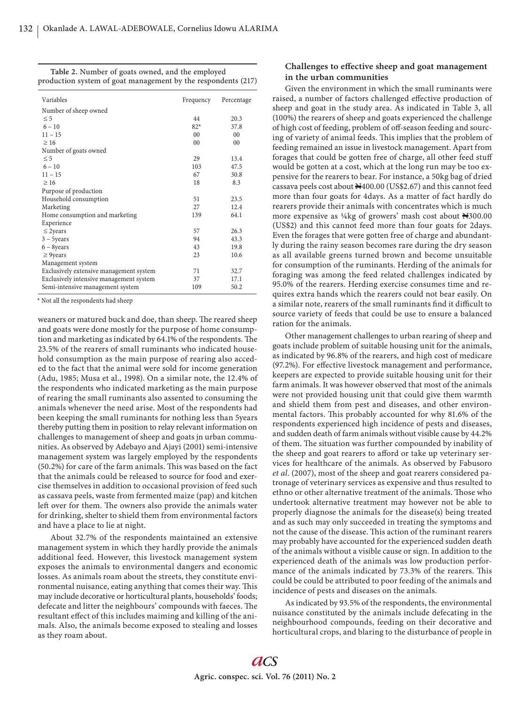| Table 2. Number of goats owned, and the employed              |  |
|---------------------------------------------------------------|--|
| production system of goat management by the respondents (217) |  |

| Variables                               | Frequency      | Percentage     |
|-----------------------------------------|----------------|----------------|
| Number of sheep owned                   |                |                |
| $\leq$ 5                                | 44             | 20.3           |
| $6 - 10$                                | $82*$          | 37.8           |
| $11 - 15$                               | 0 <sub>0</sub> | 0 <sub>0</sub> |
| $\geq 16$                               | 0 <sub>0</sub> | 0 <sub>0</sub> |
| Number of goats owned                   |                |                |
| $\leq$ 5                                | 29             | 13.4           |
| $6 - 10$                                | 103            | 47.5           |
| $11 - 15$                               | 67             | 30.8           |
| $\geq 16$                               | 18             | 8.3            |
| Purpose of production                   |                |                |
| Household consumption                   | 51             | 23.5           |
| Marketing                               | 27             | 12.4           |
| Home consumption and marketing          | 139            | 64.1           |
| Experience                              |                |                |
| $\leq$ 2years                           | 57             | 26.3           |
| $3 - 5$ years                           | 94             | 43.3           |
| $6 - 8$ years                           | 43             | 19.8           |
| $\geq$ 9years                           | 23             | 10.6           |
| Management system                       |                |                |
| Exclusively extensive management system | 71             | 32.7           |
| Exclusively intensive management system | 37             | 17.1           |
| Semi-intensive management system        | 109            | 50.2           |

\* Not all the respondents had sheep

weaners or matured buck and doe, than sheep. The reared sheep and goats were done mostly for the purpose of home consumption and marketing as indicated by 64.1% of the respondents. The 23.5% of the rearers of small ruminants who indicated household consumption as the main purpose of rearing also acceded to the fact that the animal were sold for income generation (Adu, 1985; Musa et al., 1998). On a similar note, the 12.4% of the respondents who indicated marketing as the main purpose of rearing the small ruminants also assented to consuming the animals whenever the need arise. Most of the respondents had been keeping the small ruminants for nothing less than 5years thereby putting them in position to relay relevant information on challenges to management of sheep and goats jn urban communities. As observed by Adebayo and Ajayi (2001) semi-intensive management system was largely employed by the respondents (50.2%) for care of the farm animals. This was based on the fact that the animals could be released to source for food and exercise themselves in addition to occasional provision of feed such as cassava peels, waste from fermented maize (pap) and kitchen left over for them. The owners also provide the animals water for drinking, shelter to shield them from environmental factors and have a place to lie at night.

About 32.7% of the respondents maintained an extensive management system in which they hardly provide the animals additional feed. However, this livestock management system exposes the animals to environmental dangers and economic losses. As animals roam about the streets, they constitute environmental nuisance, eating anything that comes their way. This may include decorative or horticultural plants, households' foods; defecate and litter the neighbours' compounds with faeces. The resultant effect of this includes maiming and killing of the animals. Also, the animals become exposed to stealing and losses as they roam about.

# Challenges to effective sheep and goat management **in the urban communities**

Given the environment in which the small ruminants were raised, a number of factors challenged effective production of sheep and goat in the study area. As indicated in Table 3, all (100%) the rearers of sheep and goats experienced the challenge of high cost of feeding, problem of off -season feeding and sourcing of variety of animal feeds. This implies that the problem of feeding remained an issue in livestock management. Apart from forages that could be gotten free of charge, all other feed stuff would be gotten at a cost, which at the long run may be too expensive for the rearers to bear. For instance, a 50kg bag of dried cassava peels cost about  $\textcolor{blue}{\blacktriangleright}400.00$  (US\$2.67) and this cannot feed more than four goats for 4days. As a matter of fact hardly do rearers provide their animals with concentrates which is much more expensive as ¼kg of growers' mash cost about N300.00 (US\$2) and this cannot feed more than four goats for 2days. Even the forages that were gotten free of charge and abundantly during the rainy season becomes rare during the dry season as all available greens turned brown and become unsuitable for consumption of the ruminants. Herding of the animals for foraging was among the feed related challenges indicated by 95.0% of the rearers. Herding exercise consumes time and requires extra hands which the rearers could not bear easily. On a similar note, rearers of the small ruminants find it difficult to source variety of feeds that could be use to ensure a balanced ration for the animals.

Other management challenges to urban rearing of sheep and goats include problem of suitable housing unit for the animals, as indicated by 96.8% of the rearers, and high cost of medicare (97.2%). For effective livestock management and performance, keepers are expected to provide suitable housing unit for their farm animals. It was however observed that most of the animals were not provided housing unit that could give them warmth and shield them from pest and diseases, and other environmental factors. This probably accounted for why 81.6% of the respondents experienced high incidence of pests and diseases, and sudden death of farm animals without visible cause by 44.2% of them. The situation was further compounded by inability of the sheep and goat rearers to afford or take up veterinary services for healthcare of the animals. As observed by Fabusoro *et al*. (2007), most of the sheep and goat rearers considered patronage of veterinary services as expensive and thus resulted to ethno or other alternative treatment of the animals. Those who undertook alternative treatment may however not be able to properly diagnose the animals for the disease(s) being treated and as such may only succeeded in treating the symptoms and not the cause of the disease. This action of the ruminant rearers may probably have accounted for the experienced sudden death of the animals without a visible cause or sign. In addition to the experienced death of the animals was low production performance of the animals indicated by 73.3% of the rearers. This could be could be attributed to poor feeding of the animals and incidence of pests and diseases on the animals.

As indicated by 93.5% of the respondents, the environmental nuisance constituted by the animals include defecating in the neighbourhood compounds, feeding on their decorative and horticultural crops, and blaring to the disturbance of people in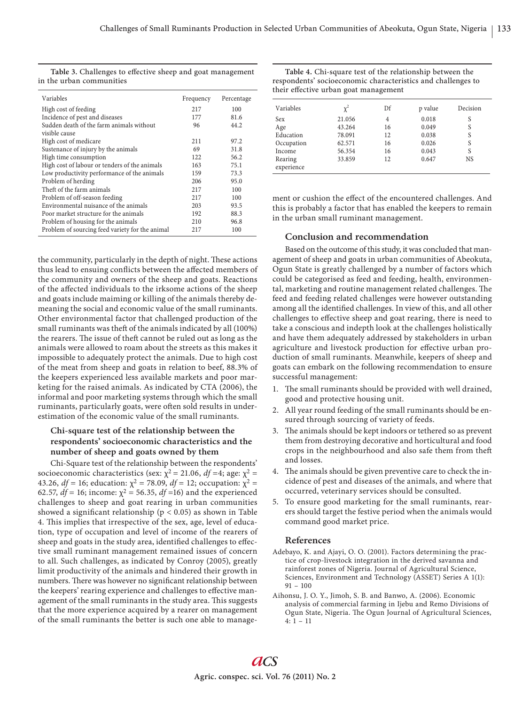| Variables                                       | Frequency | Percentage |
|-------------------------------------------------|-----------|------------|
| High cost of feeding                            | 217       | 100        |
| Incidence of pest and diseases                  | 177       | 81.6       |
| Sudden death of the farm animals without        | 96        | 44.2       |
| visible cause                                   |           |            |
| High cost of medicare                           | 211       | 97.2       |
| Sustenance of injury by the animals             | 69        | 31.8       |
| High time consumption                           | 122       | 56.2       |
| High cost of labour or tenders of the animals   | 163       | 75.1       |
| Low productivity performance of the animals     | 159       | 73.3       |
| Problem of herding                              | 206       | 95.0       |
| Theft of the farm animals                       | 217       | 100        |
| Problem of off-season feeding                   | 217       | 100        |
| Environmental nuisance of the animals           | 203       | 93.5       |
| Poor market structure for the animals           | 192       | 88.3       |
| Problem of housing for the animals              | 210       | 96.8       |
| Problem of sourcing feed variety for the animal | 217       | 100        |

the community, particularly in the depth of night. These actions thus lead to ensuing conflicts between the affected members of the community and owners of the sheep and goats. Reactions of the affected individuals to the irksome actions of the sheep and goats include maiming or killing of the animals thereby demeaning the social and economic value of the small ruminants. Other environmental factor that challenged production of the small ruminants was theft of the animals indicated by all (100%) the rearers. The issue of theft cannot be ruled out as long as the animals were allowed to roam about the streets as this makes it impossible to adequately protect the animals. Due to high cost of the meat from sheep and goats in relation to beef, 88.3% of the keepers experienced less available markets and poor marketing for the raised animals. As indicated by CTA (2006), the informal and poor marketing systems through which the small ruminants, particularly goats, were often sold results in underestimation of the economic value of the small ruminants.

# **Chi-square test of the relationship between the respondents' socioeconomic characteristics and the number of sheep and goats owned by them**

Chi-Square test of the relationship between the respondents' socioeconomic characteristics (sex:  $\chi^2$  = 21.06, *df* =4; age:  $\chi^2$  = 43.26,  $df = 16$ ; education:  $χ² = 78.09$ ,  $df = 12$ ; occupation:  $χ² =$ 62.57,  $df = 16$ ; income:  $χ² = 56.35$ ,  $df = 16$ ) and the experienced challenges to sheep and goat rearing in urban communities showed a significant relationship ( $p < 0.05$ ) as shown in Table 4. This implies that irrespective of the sex, age, level of education, type of occupation and level of income of the rearers of sheep and goats in the study area, identified challenges to effective small ruminant management remained issues of concern to all. Such challenges, as indicated by Conroy (2005), greatly limit productivity of the animals and hindered their growth in numbers. There was however no significant relationship between the keepers' rearing experience and challenges to effective management of the small ruminants in the study area. This suggests that the more experience acquired by a rearer on management of the small ruminants the better is such one able to manage-

| Table 4. Chi-square test of the relationship between the     |
|--------------------------------------------------------------|
| respondents' socioeconomic characteristics and challenges to |
| their effective urban goat management                        |

| Variables             | $\chi^2$ | Df | p value | Decision |
|-----------------------|----------|----|---------|----------|
| Sex                   | 21.056   | 4  | 0.018   | S        |
| Age                   | 43.264   | 16 | 0.049   | S        |
| Education             | 78.091   | 12 | 0.038   | S        |
| Occupation            | 62.571   | 16 | 0.026   | S        |
| Income                | 56.354   | 16 | 0.043   | S        |
| Rearing<br>experience | 33.859   | 12 | 0.647   | NS       |

ment or cushion the effect of the encountered challenges. And this is probably a factor that has enabled the keepers to remain in the urban small ruminant management.

## **Conclusion and recommendation**

Based on the outcome of this study, it was concluded that management of sheep and goats in urban communities of Abeokuta, Ogun State is greatly challenged by a number of factors which could be categorised as feed and feeding, health, environmental, marketing and routine management related challenges. The feed and feeding related challenges were however outstanding among all the identified challenges. In view of this, and all other challenges to effective sheep and goat rearing, there is need to take a conscious and indepth look at the challenges holistically and have them adequately addressed by stakeholders in urban agriculture and livestock production for effective urban production of small ruminants. Meanwhile, keepers of sheep and goats can embark on the following recommendation to ensure successful management:

- 1. The small ruminants should be provided with well drained, good and protective housing unit.
- 2. All year round feeding of the small ruminants should be ensured through sourcing of variety of feeds.
- 3. The animals should be kept indoors or tethered so as prevent them from destroying decorative and horticultural and food crops in the neighbourhood and also safe them from theft and losses.
- 4. The animals should be given preventive care to check the incidence of pest and diseases of the animals, and where that occurred, veterinary services should be consulted.
- 5. To ensure good marketing for the small ruminants, rearers should target the festive period when the animals would command good market price.

## **References**

- Adebayo, K. and Ajayi, O. O. (2001). Factors determining the practice of crop-livestock integration in the derived savanna and rainforest zones of Nigeria. Journal of Agricultural Science, Sciences, Environment and Technology (ASSET) Series A 1(1): 91 – 100
- Aihonsu, J. O. Y., Jimoh, S. B. and Banwo, A. (2006). Economic analysis of commercial farming in Ijebu and Remo Divisions of Ogun State, Nigeria. The Ogun Journal of Agricultural Sciences,  $4:1 - 11$